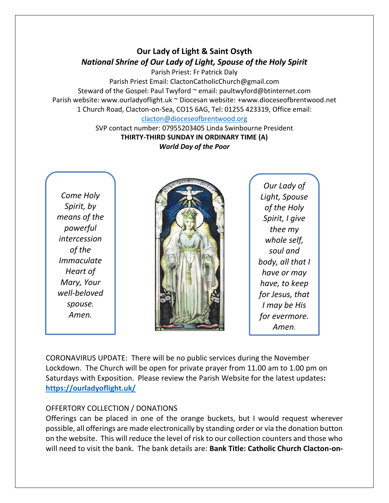## **Our Lady of Light & Saint Osyth** *National Shrine of Our Lady of Light, Spouse of the Holy Spirit*

Parish Priest: Fr Patrick Daly Parish Priest Email: ClactonCatholicChurch@gmail.com Steward of the Gospel: Paul Twyford ~ email: paultwyford@btinternet.com Parish website: www.ourladyoflight.uk ~ Diocesan website: +www.dioceseofbrentwood.net 1 Church Road, Clacton-on-Sea, CO15 6AG, Tel: 01255 423319, Office email: [clacton@dioceseofbrentwood.org](mailto:clacton@dioceseofbrentwood.org)

SVP contact number: 07955203405 Linda Swinbourne President **THIRTY-THIRD SUNDAY IN ORDINARY TIME (A)** *World Day of the Poor*

*Come Holy Spirit, by means of the powerful intercession of the Immaculate Heart of Mary, Your well-beloved spouse. Amen.*



*Our Lady of Light, Spouse of the Holy Spirit, I give thee my whole self, soul and body, all that I have or may have, to keep for Jesus, that I may be His for evermore. Amen.*

CORONAVIRUS UPDATE: There will be no public services during the November Lockdown. The Church will be open for private prayer from 11.00 am to 1.00 pm on Saturdays with Exposition. Please review the Parish Website for the latest updates**: <https://ourladyoflight.uk/>**

## OFFERTORY COLLECTION / DONATIONS

Offerings can be placed in one of the orange buckets, but I would request wherever possible, all offerings are made electronically by standing order or via the donation button on the website. This will reduce the level of risk to our collection counters and those who will need to visit the bank. The bank details are: **Bank Title: Catholic Church Clacton-on-**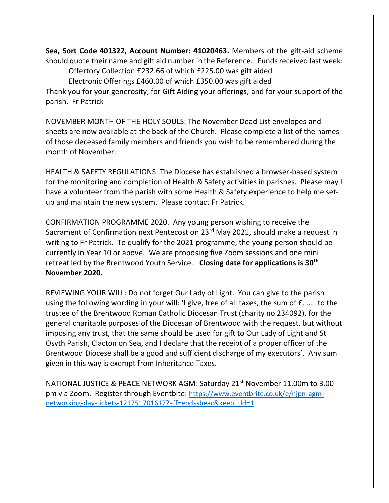**Sea, Sort Code 401322, Account Number: 41020463.** Members of the gift-aid scheme should quote their name and gift aid number in the Reference. Funds received last week: Offertory Collection £232.66 of which £225.00 was gift aided

Electronic Offerings £460.00 of which £350.00 was gift aided

Thank you for your generosity, for Gift Aiding your offerings, and for your support of the parish. Fr Patrick

NOVEMBER MONTH OF THE HOLY SOULS: The November Dead List envelopes and sheets are now available at the back of the Church. Please complete a list of the names of those deceased family members and friends you wish to be remembered during the month of November.

HEALTH & SAFETY REGULATIONS: The Diocese has established a browser-based system for the monitoring and completion of Health & Safety activities in parishes. Please may I have a volunteer from the parish with some Health & Safety experience to help me setup and maintain the new system. Please contact Fr Patrick.

CONFIRMATION PROGRAMME 2020. Any young person wishing to receive the Sacrament of Confirmation next Pentecost on 23<sup>rd</sup> May 2021, should make a request in writing to Fr Patrick. To qualify for the 2021 programme, the young person should be currently in Year 10 or above. We are proposing five Zoom sessions and one mini retreat led by the Brentwood Youth Service. **Closing date for applications is 30th November 2020.**

REVIEWING YOUR WILL: Do not forget Our Lady of Light. You can give to the parish using the following wording in your will: 'I give, free of all taxes, the sum of £…… to the trustee of the Brentwood Roman Catholic Diocesan Trust (charity no 234092), for the general charitable purposes of the Diocesan of Brentwood with the request, but without imposing any trust, that the same should be used for gift to Our Lady of Light and St Osyth Parish, Clacton on Sea, and I declare that the receipt of a proper officer of the Brentwood Diocese shall be a good and sufficient discharge of my executors'. Any sum given in this way is exempt from Inheritance Taxes.

NATIONAL JUSTICE & PEACE NETWORK AGM: Saturday 21<sup>st</sup> November 11.00m to 3.00 pm via Zoom. Register through Eventbite: [https://www.eventbrite.co.uk/e/njpn-agm](https://www.eventbrite.co.uk/e/njpn-agm-networking-day-tickets-121751701617?aff=ebdssbeac&keep_tld=1)[networking-day-tickets-121751701617?aff=ebdssbeac&keep\\_tld=1](https://www.eventbrite.co.uk/e/njpn-agm-networking-day-tickets-121751701617?aff=ebdssbeac&keep_tld=1)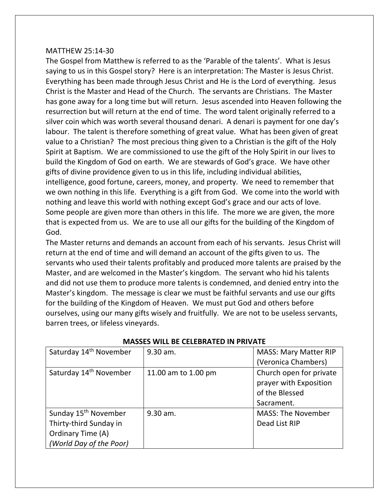## MATTHEW 25:14-30

The Gospel from Matthew is referred to as the 'Parable of the talents'. What is Jesus saying to us in this Gospel story? Here is an interpretation: The Master is Jesus Christ. Everything has been made through Jesus Christ and He is the Lord of everything. Jesus Christ is the Master and Head of the Church. The servants are Christians. The Master has gone away for a long time but will return. Jesus ascended into Heaven following the resurrection but will return at the end of time. The word talent originally referred to a silver coin which was worth several thousand denari. A denari is payment for one day's labour. The talent is therefore something of great value. What has been given of great value to a Christian? The most precious thing given to a Christian is the gift of the Holy Spirit at Baptism. We are commissioned to use the gift of the Holy Spirit in our lives to build the Kingdom of God on earth. We are stewards of God's grace. We have other gifts of divine providence given to us in this life, including individual abilities, intelligence, good fortune, careers, money, and property. We need to remember that we own nothing in this life. Everything is a gift from God. We come into the world with nothing and leave this world with nothing except God's grace and our acts of love. Some people are given more than others in this life. The more we are given, the more that is expected from us. We are to use all our gifts for the building of the Kingdom of God.

The Master returns and demands an account from each of his servants. Jesus Christ will return at the end of time and will demand an account of the gifts given to us. The servants who used their talents profitably and produced more talents are praised by the Master, and are welcomed in the Master's kingdom. The servant who hid his talents and did not use them to produce more talents is condemned, and denied entry into the Master's kingdom. The message is clear we must be faithful servants and use our gifts for the building of the Kingdom of Heaven. We must put God and others before ourselves, using our many gifts wisely and fruitfully. We are not to be useless servants, barren trees, or lifeless vineyards.

| Saturday 14 <sup>th</sup> November | 9.30 am.            | <b>MASS: Mary Matter RIP</b> |
|------------------------------------|---------------------|------------------------------|
|                                    |                     | (Veronica Chambers)          |
| Saturday 14 <sup>th</sup> November | 11.00 am to 1.00 pm | Church open for private      |
|                                    |                     | prayer with Exposition       |
|                                    |                     | of the Blessed               |
|                                    |                     | Sacrament.                   |
| Sunday 15 <sup>th</sup> November   | 9.30 am.            | <b>MASS: The November</b>    |
| Thirty-third Sunday in             |                     | Dead List RIP                |
| Ordinary Time (A)                  |                     |                              |
| (World Day of the Poor)            |                     |                              |

## **MASSES WILL BE CELEBRATED IN PRIVATE**